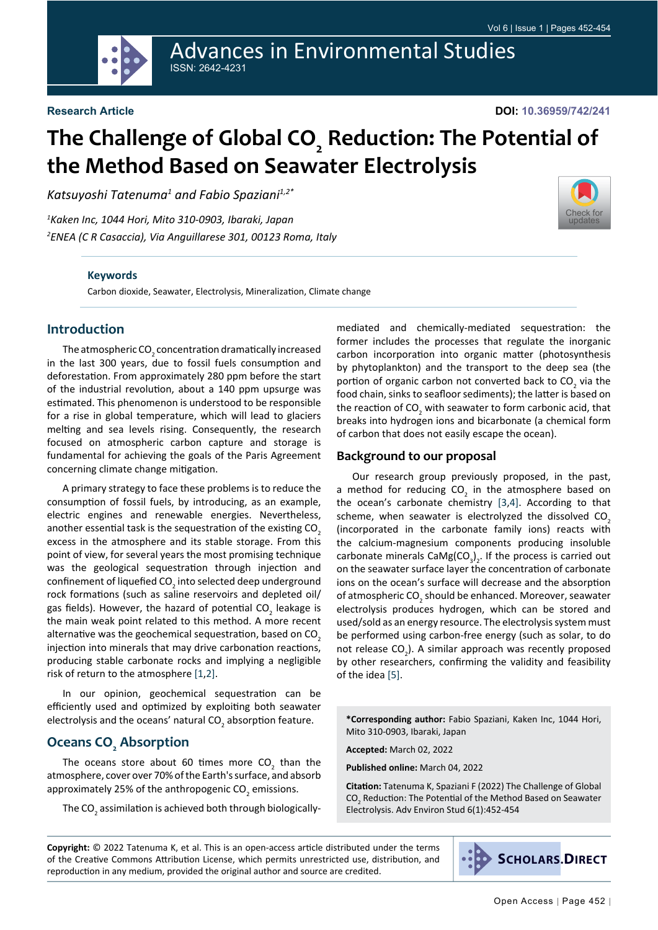**Advances in Environmental Studies ISSN: 2642-4231** 

# The Challenge of Global CO<sub>,</sub> Reduction: The Potential of the Method Based on Seawater Electrolysis

Katsuyoshi Tatenuma<sup>1</sup> and Fabio Spaziani<sup>1,2\*</sup>

<sup>1</sup>Kaken Inc, 1044 Hori, Mito 310-0903, Ibaraki, Japan <sup>2</sup>ENEA (C R Casaccia), Via Anguillarese 301, 00123 Roma, Italy

#### **Keywords**

Carbon dioxide, Seawater, Electrolysis, Mineralization, Climate change

## **Introduction**

The atmospheric  $CO<sub>2</sub>$  concentration dramatically increased in the last 300 years, due to fossil fuels consumption and deforestation. From approximately 280 ppm before the start of the industrial revolution, about a 140 ppm upsurge was estimated. This phenomenon is understood to be responsible for a rise in global temperature, which will lead to glaciers melting and sea levels rising. Consequently, the research focused on atmospheric carbon capture and storage is fundamental for achieving the goals of the Paris Agreement concerning climate change mitigation.

A primary strategy to face these problems is to reduce the consumption of fossil fuels, by introducing, as an example, electric engines and renewable energies. Nevertheless, another essential task is the sequestration of the existing CO<sub>3</sub> excess in the atmosphere and its stable storage. From this point of view, for several years the most promising technique was the geological sequestration through injection and confinement of liquefied CO<sub>2</sub> into selected deep underground rock formations (such as saline reservoirs and depleted oil/ gas fields). However, the hazard of potential CO<sub>2</sub> leakage is the main weak point related to this method. A more recent alternative was the geochemical sequestration, based on CO<sub>2</sub> injection into minerals that may drive carbonation reactions. producing stable carbonate rocks and implying a negligible risk of return to the atmosphere [1,2].

In our opinion, geochemical sequestration can be efficiently used and optimized by exploiting both seawater electrolysis and the oceans' natural CO<sub>2</sub> absorption feature.

### **Oceans CO<sub>.</sub> Absorption**

The oceans store about 60 times more  $CO<sub>2</sub>$  than the atmosphere, cover over 70% of the Earth's surface, and absorb approximately 25% of the anthropogenic CO<sub>2</sub> emissions.

The CO<sub>2</sub> assimilation is achieved both through biologically-

mediated and chemically-mediated sequestration: the former includes the processes that regulate the inorganic carbon incorporation into organic matter (photosynthesis by phytoplankton) and the transport to the deep sea (the portion of organic carbon not converted back to CO<sub>2</sub> via the food chain, sinks to seafloor sediments); the latter is based on the reaction of CO<sub>2</sub> with seawater to form carbonic acid, that breaks into hydrogen ions and bicarbonate (a chemical form of carbon that does not easily escape the ocean).

#### **Background to our proposal**

Our research group previously proposed, in the past, a method for reducing CO<sub>2</sub> in the atmosphere based on the ocean's carbonate chemistry [3,4]. According to that scheme, when seawater is electrolyzed the dissolved CO<sub>2</sub> (incorporated in the carbonate family ions) reacts with the calcium-magnesium components producing insoluble carbonate minerals  $CaMg(CO<sub>3</sub>)$ , If the process is carried out on the seawater surface layer the concentration of carbonate ions on the ocean's surface will decrease and the absorption of atmospheric CO<sub>2</sub> should be enhanced. Moreover, seawater electrolysis produces hydrogen, which can be stored and used/sold as an energy resource. The electrolysis system must be performed using carbon-free energy (such as solar, to do not release CO<sub>2</sub>). A similar approach was recently proposed by other researchers, confirming the validity and feasibility of the idea [5].

\*Corresponding author: Fabio Spaziani, Kaken Inc, 1044 Hori, Mito 310-0903, Ibaraki, Japan

Accepted: March 02, 2022

Published online: March 04, 2022

Citation: Tatenuma K, Spaziani F (2022) The Challenge of Global CO<sub>2</sub> Reduction: The Potential of the Method Based on Seawater Electrolysis. Adv Environ Stud 6(1):452-454

Copyright: © 2022 Tatenuma K, et al. This is an open-access article distributed under the terms of the Creative Commons Attribution License, which permits unrestricted use, distribution, and reproduction in any medium, provided the original author and source are credited.

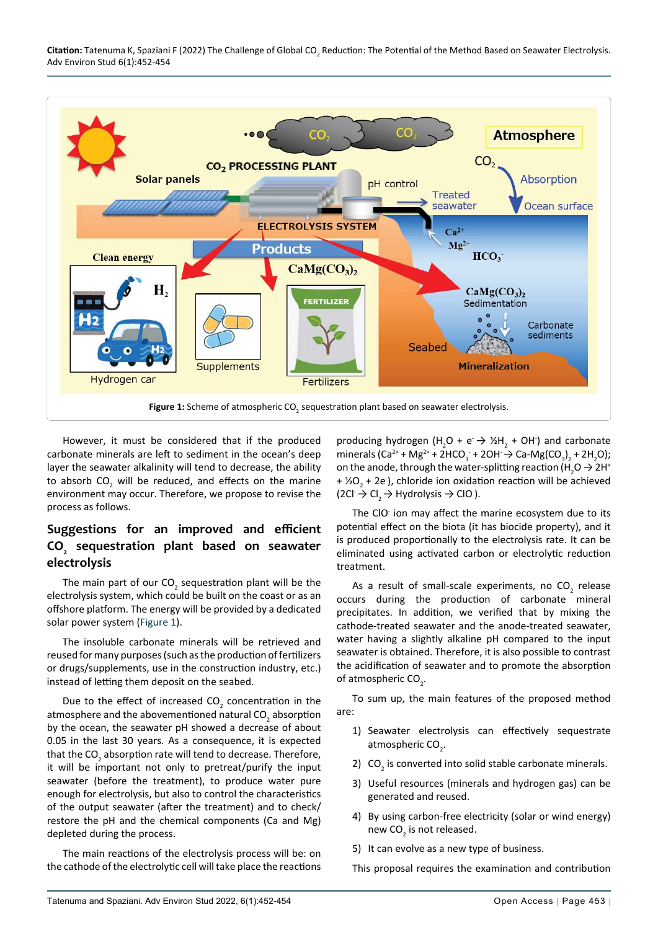

However, it must be considered that if the produced carbonate minerals are left to sediment in the ocean's deep layer the seawater alkalinity will tend to decrease, the ability to absorb CO<sub>2</sub> will be reduced, and effects on the marine environment may occur. Therefore, we propose to revise the process as follows.

# Suggestions for an improved and efficient CO<sub>,</sub> sequestration plant based on seawater electrolysis

The main part of our CO<sub>2</sub> sequestration plant will be the electrolysis system, which could be built on the coast or as an offshore platform. The energy will be provided by a dedicated solar power system (Figure 1).

The insoluble carbonate minerals will be retrieved and reused for many purposes (such as the production of fertilizers or drugs/supplements, use in the construction industry, etc.) instead of letting them deposit on the seabed.

Due to the effect of increased  $CO<sub>2</sub>$  concentration in the atmosphere and the abovementioned natural CO<sub>2</sub> absorption by the ocean, the seawater pH showed a decrease of about 0.05 in the last 30 years. As a consequence, it is expected that the CO<sub>2</sub> absorption rate will tend to decrease. Therefore, it will be important not only to pretreat/purify the input seawater (before the treatment), to produce water pure enough for electrolysis, but also to control the characteristics of the output seawater (after the treatment) and to check/ restore the pH and the chemical components (Ca and Mg) depleted during the process.

The main reactions of the electrolysis process will be: on the cathode of the electrolytic cell will take place the reactions producing hydrogen (H<sub>2</sub>O + e<sup>-</sup>  $\rightarrow$  1/<sub>2</sub>H<sub>2</sub> + OH<sup>-</sup>) and carbonate minerals  $(Ca^{2+} + Mg^{2+} + 2HCO_3 + 2OH \rightarrow Ca-Mg(CO_2), + 2H_2O);$ on the anode, through the water-splitting reaction (H<sub>2</sub>O  $\rightarrow$  2H<sup>+</sup> +  $\frac{1}{2}$ O<sub>2</sub> + 2e<sup>-</sup>), chloride ion oxidation reaction will be achieved  $(2Cl \rightarrow Cl_2 \rightarrow Hydrolysis \rightarrow ClO^2).$ 

The CIO ion may affect the marine ecosystem due to its potential effect on the biota (it has biocide property), and it is produced proportionally to the electrolysis rate. It can be eliminated using activated carbon or electrolytic reduction treatment.

As a result of small-scale experiments, no CO<sub>3</sub> release occurs during the production of carbonate mineral precipitates. In addition, we verified that by mixing the cathode-treated seawater and the anode-treated seawater, water having a slightly alkaline pH compared to the input seawater is obtained. Therefore, it is also possible to contrast the acidification of seawater and to promote the absorption of atmospheric CO<sub>2</sub>.

To sum up, the main features of the proposed method are:

- 1) Seawater electrolysis can effectively sequestrate atmospheric CO<sub>2</sub>.
- 2)  $CO<sub>2</sub>$  is converted into solid stable carbonate minerals.
- 3) Useful resources (minerals and hydrogen gas) can be generated and reused.
- 4) By using carbon-free electricity (solar or wind energy) new CO<sub>2</sub> is not released.
- 5) It can evolve as a new type of business.

This proposal requires the examination and contribution